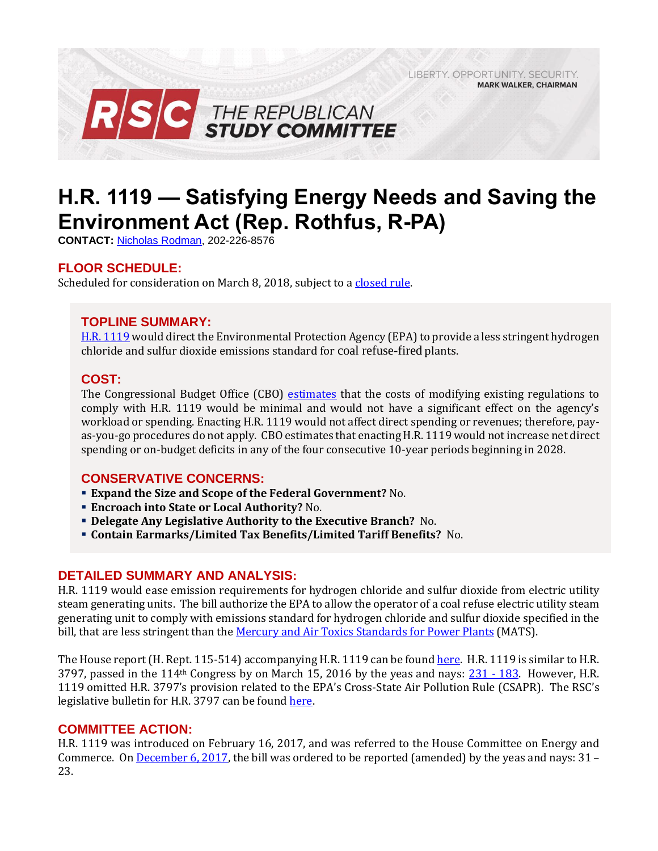LIBERTY. OPPORTUNITY. SECURITY. **MARK WALKER, CHAIRMAN** 



# **H.R. 1119 — Satisfying Energy Needs and Saving the Environment Act (Rep. Rothfus, R-PA)**

**CONTACT:** [Nicholas Rodman,](mailto:nicholas.rodman@mail.house.gov) 202-226-8576

# **FLOOR SCHEDULE:**

Scheduled for consideration on March 8, 2018, subject to [a closed rule.](https://rules.house.gov/bill/115/hr-1917)

## **TOPLINE SUMMARY:**

[H.R. 1119](https://www.gpo.gov/fdsys/pkg/BILLS-115hr1119rh/xml/BILLS-115hr1119rh.xml) would direct the Environmental Protection Agency (EPA) to provide a less stringent hydrogen chloride and sulfur dioxide emissions standard for coal refuse-fired plants.

#### **COST:**

The Congressional Budget Office (CBO) [estimates](https://www.cbo.gov/system/files/115th-congress-2017-2018/costestimate/hr1119_0.pdf) that the costs of modifying existing regulations to comply with H.R. 1119 would be minimal and would not have a significant effect on the agency's workload or spending. Enacting H.R. 1119 would not affect direct spending or revenues; therefore, payas-you-go procedures do not apply. CBO estimates that enacting H.R. 1119 would not increase net direct spending or on-budget deficits in any of the four consecutive 10-year periods beginning in 2028.

## **CONSERVATIVE CONCERNS:**

- **Expand the Size and Scope of the Federal Government?** No.
- **Encroach into State or Local Authority?** No.
- **Delegate Any Legislative Authority to the Executive Branch?** No.
- **Contain Earmarks/Limited Tax Benefits/Limited Tariff Benefits?** No.

#### **DETAILED SUMMARY AND ANALYSIS:**

H.R. 1119 would ease emission requirements for hydrogen chloride and sulfur dioxide from electric utility steam generating units. The bill authorize the EPA to allow the operator of a coal refuse electric utility steam generating unit to comply with emissions standard for hydrogen chloride and sulfur dioxide specified in the bill, that are less stringent than th[e Mercury and Air Toxics Standards for Power Plants](https://www.epa.gov/mats) (MATS).

The House report (H. Rept. 115-514) accompanying H.R. 1119 can be found [here.](https://www.gpo.gov/fdsys/pkg/CRPT-115hrpt514/pdf/CRPT-115hrpt514.pdf) H.R. 1119 is similar to H.R. 3797, passed in the 114<sup>th</sup> Congress by on March 15, 2016 by the yeas and nays:  $231 - 183$  $231 - 183$ . However, H.R. 1119 omitted H.R. 3797's provision related to the EPA's Cross-State Air Pollution Rule (CSAPR). The RSC's legislative bulletin for H.R. 3797 can be foun[d here.](https://rsc-walker.house.gov/sites/republicanstudycommittee.house.gov/files/2016LB/Legislative_Bulletin_HR_3797_March_15_2016.pdf)

#### **COMMITTEE ACTION:**

H.R. 1119 was introduced on February 16, 2017, and was referred to the House Committee on Energy and Commerce. On [December 6, 2017,](https://energycommerce.house.gov/markups/energy-commerce-committee-vote-h-r-453-h-r-350-h-r-1119-h-r-1733-h-r-1917-h-r-2872-andh-r-2880/) the bill was ordered to be reported (amended) by the yeas and nays: 31 – 23.